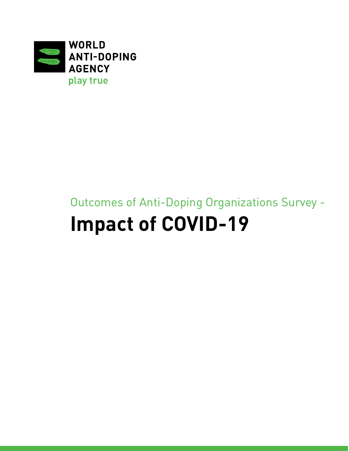

# Outcomes of Anti-Doping Organizations Survey - **Impact of COVID-19**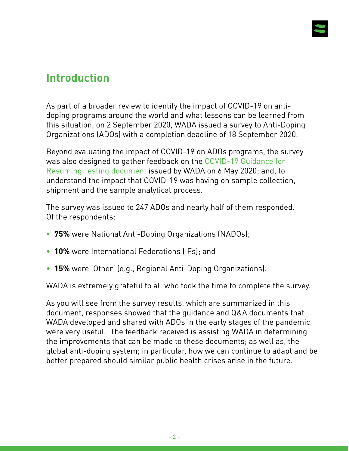

# **Introduction**

As part of a broader review to identify the impact of COVID-19 on antidoping programs around the world and what lessons can be learned from this situation, on 2 September 2020, WADA issued a survey to Anti-Doping Organizations (ADOs) with a completion deadline of 18 September 2020.

Beyond evaluating the impact of COVID-19 on ADOs programs, the survey was also designed to gather feedback on the [COVID-19 Guidance for](https://www.wada-ama.org/en/media/news/2020-05/wada-updates-its-covid-19-guidance-for-anti-doping-organizations)  [Resuming Testing document](https://www.wada-ama.org/en/media/news/2020-05/wada-updates-its-covid-19-guidance-for-anti-doping-organizations) issued by WADA on 6 May 2020; and, to understand the impact that COVID-19 was having on sample collection, shipment and the sample analytical process.

The survey was issued to 247 ADOs and nearly half of them responded. Of the respondents:

- **75%** were National Anti-Doping Organizations (NADOs);
- **10%** were International Federations (IFs); and
- **15%** were 'Other' (e.g., Regional Anti-Doping Organizations).

WADA is extremely grateful to all who took the time to complete the survey.

As you will see from the survey results, which are summarized in this document, responses showed that the guidance and Q&A documents that WADA developed and shared with ADOs in the early stages of the pandemic were very useful. The feedback received is assisting WADA in determining the improvements that can be made to these documents; as well as, the global anti-doping system; in particular, how we can continue to adapt and be better prepared should similar public health crises arise in the future.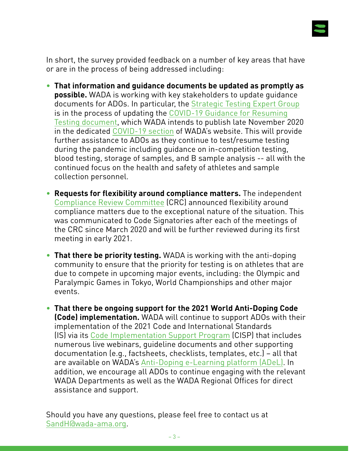

In short, the survey provided feedback on a number of key areas that have or are in the process of being addressed including:

- **That information and guidance documents be updated as promptly as possible.** WADA is working with key stakeholders to update guidance documents for ADOs. In particular, the [Strategic Testing Expert Group](https://www.wada-ama.org/en/who-we-are/governance/strategic-testing-expert-group) is in the process of updating the [COVID-19 Guidance for Resuming](https://www.wada-ama.org/en/media/news/2020-05/wada-updates-its-covid-19-guidance-for-anti-doping-organizations) [Testing document](https://www.wada-ama.org/en/media/news/2020-05/wada-updates-its-covid-19-guidance-for-anti-doping-organizations), which WADA intends to publish late November 2020 in the dedicated [COVID-19 section](https://www.wada-ama.org/en/covid-19-updates) of WADA's website. This will provide further assistance to ADOs as they continue to test/resume testing during the pandemic including guidance on in-competition testing, blood testing, storage of samples, and B sample analysis -- all with the continued focus on the health and safety of athletes and sample collection personnel.
- **Requests for flexibility around compliance matters.** The independent [Compliance Review Committee](https://www.wada-ama.org/en/who-we-are/governance/compliance-review-committee) (CRC) [announced](https://www.wada-ama.org/en/media/news/2020-10/wada-compliance-review-committee-discusses-way-forward-for-compliance-monitoring) flexibility around compliance matters due to the exceptional nature of the situation. This was communicated to Code Signatories after each of the meetings of the CRC since March 2020 and will be further reviewed during its first meeting in early 2021.
- **That there be priority testing.** WADA is working with the anti-doping community to ensure that the priority for testing is on athletes that are due to compete in upcoming major events, including: the Olympic and Paralympic Games in Tokyo, World Championships and other major events.
- **That there be ongoing support for the 2021 World Anti-Doping Code (Code) implementation.** WADA will continue to support ADOs with their implementation of the 2021 Code and International Standards (IS) via its [Code Implementation Support Program](https://www.wada-ama.org/en/what-we-do/education-prevention/2021-code-implementation-support-program) (CISP) that includes numerous live webinars, guideline documents and other supporting documentation (e.g., factsheets, checklists, templates, etc.) – all that are available on WADA's [Anti-Doping e-Learning platform \(ADeL\)](https://adel.wada-ama.org/). In addition, we encourage all ADOs to continue engaging with the relevant WADA Departments as well as the WADA Regional Offices for direct assistance and support.

Should you have any questions, please feel free to contact us at [SandH@wada-ama.org.](mailto:SandH%40wada-ama.org?subject=)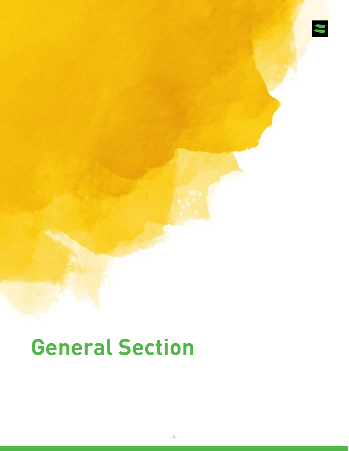

# **General Section**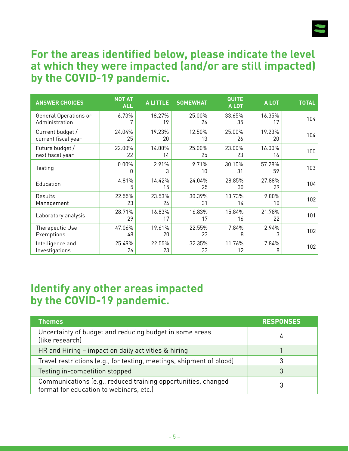

#### **For the areas identified below, please indicate the level at which they were impacted (and/or are still impacted) by the COVID-19 pandemic.**

| <b>ANSWER CHOICES</b> | <b>NOT AT</b><br><b>ALL</b> | <b>ALITTLE</b> | <b>SOMEWHAT</b> | QUITE<br>A LOT | <b>ALOT</b>  | <b>TOTAL</b> |
|-----------------------|-----------------------------|----------------|-----------------|----------------|--------------|--------------|
| General Operations or | 6.73%                       | 18.27%         | 25.00%          | 33.65%         | 16.35%       | 104          |
| Administration        | 7                           | 19             | 26              | 35             | 17           |              |
| Current budget /      | 24.04%                      | 19.23%         | 12.50%          | 25.00%         | 19.23%       | 104          |
| current fiscal year   | 25                          | 20             | 13              | 26             | 20           |              |
| Future budget /       | 22.00%                      | 14.00%         | 25.00%          | 23.00%         | 16.00%       | 100          |
| next fiscal year      | 22                          | 14             | 25              | 23             | 16           |              |
| Testing               | 0.00%<br>0                  | 2.91%<br>3     | 9.71%<br>10     | 30.10%<br>31   | 57.28%<br>59 | 103          |
| Education             | 4.81%<br>5                  | 14.42%<br>15   | 24.04%<br>25    | 28.85%<br>30   | 27.88%<br>29 | 104          |
| Results               | 22.55%                      | 23.53%         | 30.39%          | 13.73%         | 9.80%        | 102          |
| Management            | 23                          | 24             | 31              | 14             | 10           |              |
| Laboratory analysis   | 28.71%<br>29                | 16.83%<br>17   | 16.83%<br>17    | 15.84%<br>16   | 21.78%<br>22 | 101          |
| Therapeutic Use       | 47.06%                      | 19.61%         | 22.55%          | 7.84%          | 2.94%        | 102          |
| Exemptions            | 48                          | 20             | 23              | 8              | 3            |              |
| Intelligence and      | 25.49%                      | 22.55%         | 32.35%          | 11.76%         | 7.84%        | 102          |
| Investigations        | 26                          | 23             | 33              | 12             | 8            |              |

#### **Identify any other areas impacted by the COVID-19 pandemic.**

| <b>Themes</b>                                                                                            | <b>RESPONSES</b> |
|----------------------------------------------------------------------------------------------------------|------------------|
| Uncertainty of budget and reducing budget in some areas<br>(like research)                               | 4                |
| HR and Hiring – impact on daily activities & hiring                                                      |                  |
| Travel restrictions (e.g., for testing, meetings, shipment of blood)                                     |                  |
| Testing in-competition stopped                                                                           | 3                |
| Communications (e.g., reduced training opportunities, changed<br>format for education to webinars, etc.) |                  |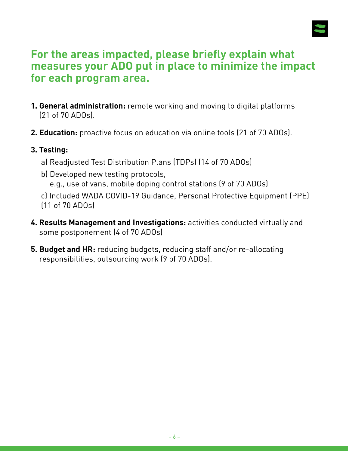

# **For the areas impacted, please briefly explain what measures your ADO put in place to minimize the impact for each program area.**

- **1. General administration:** remote working and moving to digital platforms (21 of 70 ADOs).
- **2. Education:** proactive focus on education via online tools (21 of 70 ADOs).

#### **3. Testing:**

- a) Readjusted Test Distribution Plans (TDPs) (14 of 70 ADOs)
- b) Developed new testing protocols,
	- e.g., use of vans, mobile doping control stations (9 of 70 ADOs)
- c) Included WADA COVID-19 Guidance, Personal Protective Equipment (PPE) (11 of 70 ADOs)
- **4. Results Management and Investigations:** activities conducted virtually and some postponement (4 of 70 ADOs)
- **5. Budget and HR:** reducing budgets, reducing staff and/or re-allocating responsibilities, outsourcing work (9 of 70 ADOs).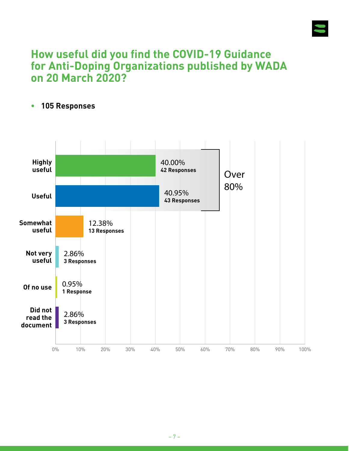

# **How useful did you find the COVID-19 Guidance for Anti-Doping Organizations published by WADA on 20 March 2020?**

#### **• 105 Responses**

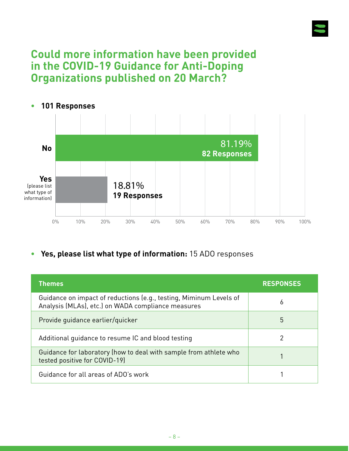

# **Could more information have been provided in the COVID-19 Guidance for Anti-Doping Organizations published on 20 March?**



**• Yes, please list what type of information:** 15 ADO responses

| <b>Themes</b>                                                                                                            | <b>RESPONSES</b> |
|--------------------------------------------------------------------------------------------------------------------------|------------------|
| Guidance on impact of reductions (e.g., testing, Miminum Levels of<br>Analysis (MLAs), etc.) on WADA compliance measures | 6                |
| Provide quidance earlier/quicker                                                                                         | 5                |
| Additional quidance to resume IC and blood testing                                                                       | 2                |
| Guidance for laboratory (how to deal with sample from athlete who<br>tested positive for COVID-19)                       |                  |
| Guidance for all areas of ADO's work                                                                                     |                  |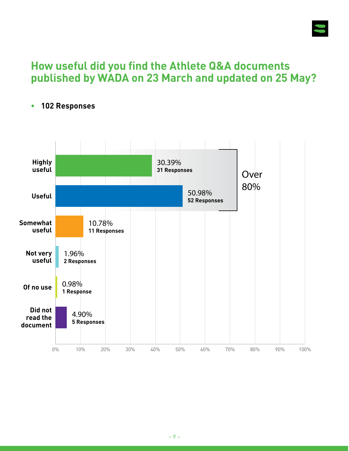

# **How useful did you find the Athlete Q&A documents published by WADA on 23 March and updated on 25 May?**



#### **• 102 Responses**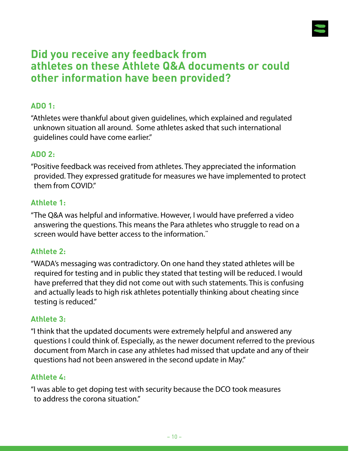

# **Did you receive any feedback from athletes on these Athlete Q&A documents or could other information have been provided?**

#### **ADO 1:**

"Athletes were thankful about given guidelines, which explained and regulated unknown situation all around. Some athletes asked that such international guidelines could have come earlier."

#### **ADO 2:**

"Positive feedback was received from athletes. They appreciated the information provided. They expressed gratitude for measures we have implemented to protect them from COVID."

#### **Athlete 1:**

"The Q&A was helpful and informative. However, I would have preferred a video answering the questions. This means the Para athletes who struggle to read on a screen would have better access to the information."

#### **Athlete 2:**

"WADA's messaging was contradictory. On one hand they stated athletes will be required for testing and in public they stated that testing will be reduced. I would have preferred that they did not come out with such statements. This is confusing and actually leads to high risk athletes potentially thinking about cheating since testing is reduced."

#### **Athlete 3:**

"I think that the updated documents were extremely helpful and answered any questions I could think of. Especially, as the newer document referred to the previous document from March in case any athletes had missed that update and any of their questions had not been answered in the second update in May."

#### **Athlete 4:**

"I was able to get doping test with security because the DCO took measures to address the corona situation."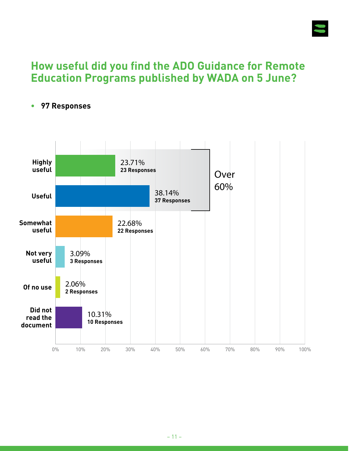

# **How useful did you find the ADO Guidance for Remote Education Programs published by WADA on 5 June?**



**• 97 Responses**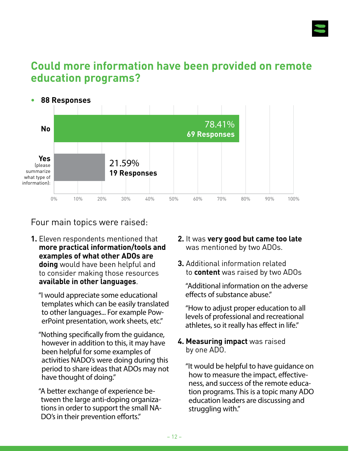

# **Could more information have been provided on remote education programs?**



#### Four main topics were raised:

- **1.** Eleven respondents mentioned that **more practical information/tools and examples of what other ADOs are doing** would have been helpful and to consider making those resources **available in other languages**.
	- "I would appreciate some educational templates which can be easily translated to other languages... For example PowerPoint presentation, work sheets, etc."
	- "Nothing specifically from the guidance, however in addition to this, it may have been helpful for some examples of activities NADO's were doing during this period to share ideas that ADOs may not have thought of doing."
	- "A better exchange of experience between the large anti-doping organizations in order to support the small NA-DO's in their prevention efforts."
- **2.** It was **very good but came too late** was mentioned by two ADOs.
- **3.** Additional information related to **content** was raised by two ADOs

"Additional information on the adverse effects of substance abuse."

"How to adjust proper education to all levels of professional and recreational athletes, so it really has effect in life."

**4. Measuring impact** was raised by one ADO.

"It would be helpful to have guidance on how to measure the impact, effectiveness, and success of the remote education programs. This is a topic many ADO education leaders are discussing and struggling with."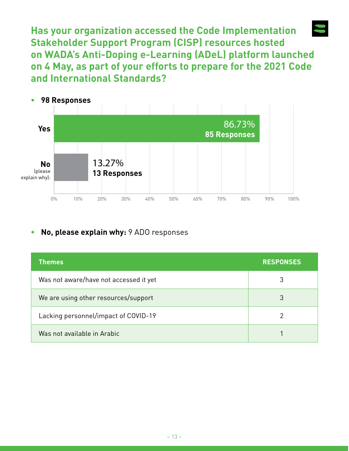**Has your organization accessed the Code Implementation Stakeholder Support Program (CISP) resources hosted on WADA's Anti-Doping e-Learning (ADeL) platform launched on 4 May, as part of your efforts to prepare for the 2021 Code and International Standards?**



#### **• No, please explain why:** 9 ADO responses

| <b>Themes</b>                          | <b>RESPONSES</b> |
|----------------------------------------|------------------|
| Was not aware/have not accessed it yet | 3                |
| We are using other resources/support   | 3                |
| Lacking personnel/impact of COVID-19   |                  |
| Was not available in Arabic            |                  |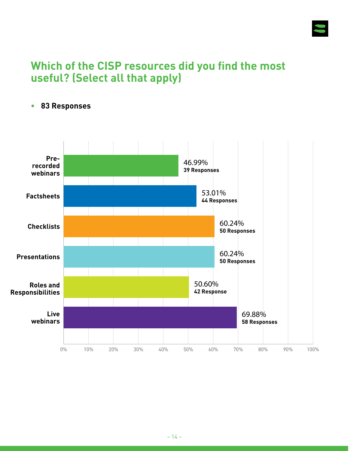

# **Which of the CISP resources did you find the most useful? (Select all that apply)**



#### **• 83 Responses**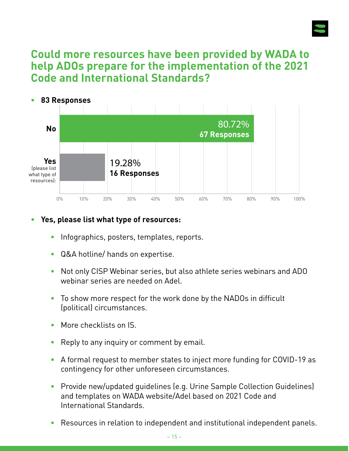

# **Could more resources have been provided by WADA to help ADOs prepare for the implementation of the 2021 Code and International Standards?**



#### **• Yes, please list what type of resources:**

- Infographics, posters, templates, reports.
- Q&A hotline/ hands on expertise.
- Not only CISP Webinar series, but also athlete series webinars and ADO webinar series are needed on Adel.
- To show more respect for the work done by the NADOs in difficult (political) circumstances.
- More checklists on IS.
- Reply to any inquiry or comment by email.
- A formal request to member states to inject more funding for COVID-19 as contingency for other unforeseen circumstances.
- Provide new/updated guidelines (e.g. Urine Sample Collection Guidelines) and templates on WADA website/Adel based on 2021 Code and International Standards.
- Resources in relation to independent and institutional independent panels.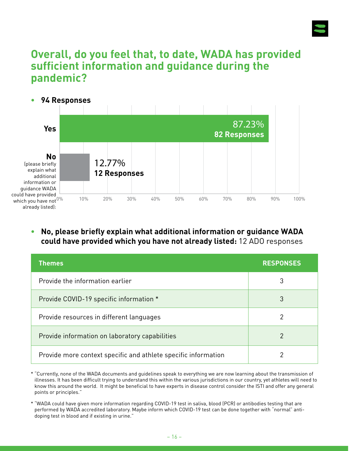

# **Overall, do you feel that, to date, WADA has provided sufficient information and guidance during the pandemic?**

**• 94 Responses** 0% 10% 20% 30% 40% 50% 60% 70% 80% 90% 100% **Yes** 87.23% **82 Responses** 12.77% **12 Responses No** (please briefly explain what additional information or guidance WADA could have provided which you have not  $0\%$ already listed):

#### **• No, please briefly explain what additional information or guidance WADA could have provided which you have not already listed:** 12 ADO responses

| <b>Themes</b>                                                  | <b>RESPONSES</b> |
|----------------------------------------------------------------|------------------|
| Provide the information earlier                                | 3                |
| Provide COVID-19 specific information *                        | 3                |
| Provide resources in different languages                       | 2                |
| Provide information on laboratory capabilities                 | 2                |
| Provide more context specific and athlete specific information | າ                |

\* "Currently, none of the WADA documents and guidelines speak to everything we are now learning about the transmission of illnesses. It has been difficult trying to understand this within the various jurisdictions in our country, yet athletes will need to know this around the world. It might be beneficial to have experts in disease control consider the ISTI and offer any general points or principles."

\* "WADA could have given more information regarding COVID-19 test in saliva, blood (PCR) or antibodies testing that are performed by WADA accredited laboratory. Maybe inform which COVID-19 test can be done together with "normal" antidoping test in blood and if existing in urine."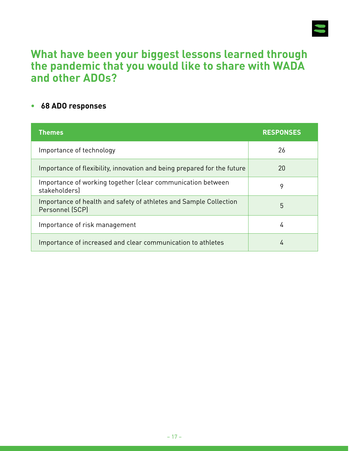

# **What have been your biggest lessons learned through the pandemic that you would like to share with WADA and other ADOs?**

#### **• 68 ADO responses**

| <b>Themes</b>                                                                        | <b>RESPONSES</b> |
|--------------------------------------------------------------------------------------|------------------|
| Importance of technology                                                             | 26               |
| Importance of flexibility, innovation and being prepared for the future              | 20               |
| Importance of working together (clear communication between<br>stakeholders)         | 9                |
| Importance of health and safety of athletes and Sample Collection<br>Personnel (SCP) | 5                |
| Importance of risk management                                                        | 4                |
| Importance of increased and clear communication to athletes                          | 4                |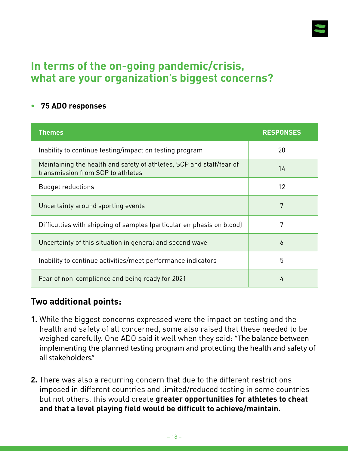

# **In terms of the on-going pandemic/crisis, what are your organization's biggest concerns?**

#### **• 75 ADO responses**

| <b>Themes</b>                                                                                             | <b>RESPONSES</b>  |
|-----------------------------------------------------------------------------------------------------------|-------------------|
| Inability to continue testing/impact on testing program                                                   | 20                |
| Maintaining the health and safety of athletes, SCP and staff/fear of<br>transmission from SCP to athletes | 14                |
| <b>Budget reductions</b>                                                                                  | $12 \overline{ }$ |
| Uncertainty around sporting events                                                                        | 7                 |
| Difficulties with shipping of samples (particular emphasis on blood)                                      | 7                 |
| Uncertainty of this situation in general and second wave                                                  | 6                 |
| Inability to continue activities/meet performance indicators                                              | 5                 |
| Fear of non-compliance and being ready for 2021                                                           | 4                 |

#### **Two additional points:**

- **1.** While the biggest concerns expressed were the impact on testing and the health and safety of all concerned, some also raised that these needed to be weighed carefully. One ADO said it well when they said: "The balance between implementing the planned testing program and protecting the health and safety of all stakeholders."
- **2.** There was also a recurring concern that due to the different restrictions imposed in different countries and limited/reduced testing in some countries but not others, this would create **greater opportunities for athletes to cheat and that a level playing field would be difficult to achieve/maintain.**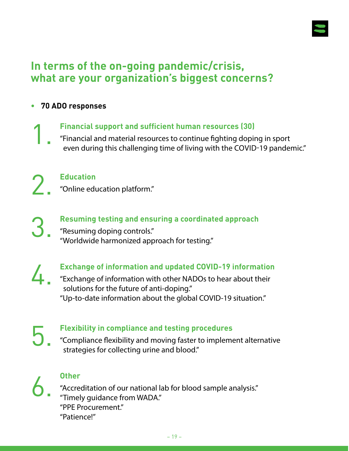

# **In terms of the on-going pandemic/crisis, what are your organization's biggest concerns?**

**• 70 ADO responses**

**Financial support and sufficient human resources (30)**

1. "Financial and material resources to continue fighting doping in sport even during this challenging time of living with the COVID-19 pandemic."

2.

#### **Education**

"Online education platform."

3.

#### **Resuming testing and ensuring a coordinated approach**

"Resuming doping controls." "Worldwide harmonized approach for testing."

**Exchange of information and updated COVID-19 information**

4. "Exchange of information with other NADOs to hear about their solutions for the future of anti-doping." "Up-to-date information about the global COVID-19 situation."

**Flexibility in compliance and testing procedures**

5. "Compliance flexibility and moving faster to implement alternative strategies for collecting urine and blood."



#### **Other**

"Accreditation of our national lab for blood sample analysis." "Timely guidance from WADA." "PPE Procurement." "Patience!"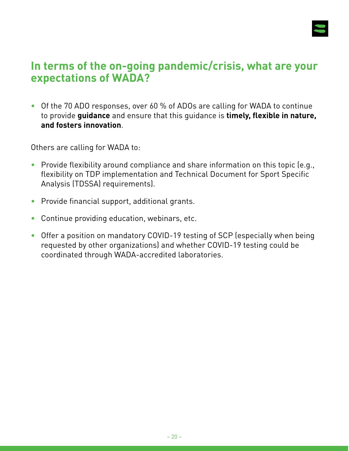

# **In terms of the on-going pandemic/crisis, what are your expectations of WADA?**

• Of the 70 ADO responses, over 60 % of ADOs are calling for WADA to continue to provide **guidance** and ensure that this guidance is **timely, flexible in nature, and fosters innovation**.

Others are calling for WADA to:

- Provide flexibility around compliance and share information on this topic (e.g., flexibility on TDP implementation and Technical Document for Sport Specific Analysis (TDSSA) requirements).
- Provide financial support, additional grants.
- Continue providing education, webinars, etc.
- Offer a position on mandatory COVID-19 testing of SCP (especially when being requested by other organizations) and whether COVID-19 testing could be coordinated through WADA-accredited laboratories.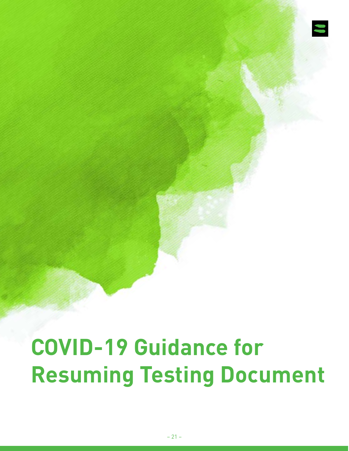

# **COVID-19 Guidance for Resuming Testing Document**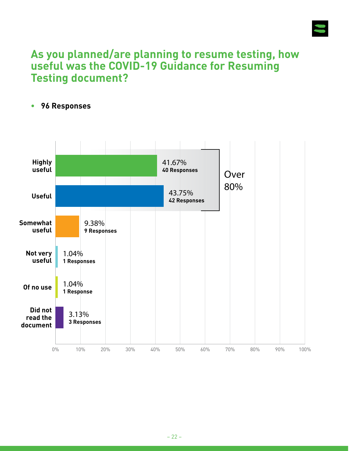

# **As you planned/are planning to resume testing, how useful was the COVID-19 Guidance for Resuming Testing document?**

#### **• 96 Responses**

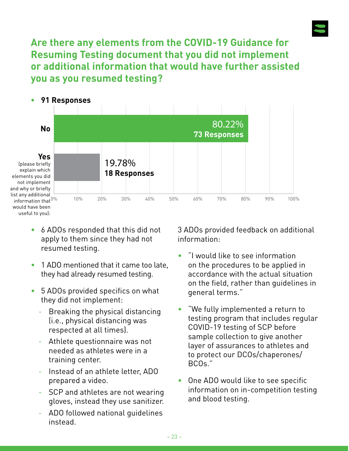

**Are there any elements from the COVID-19 Guidance for Resuming Testing document that you did not implement or additional information that would have further assisted you as you resumed testing?**



- 6 ADOs responded that this did not apply to them since they had not resumed testing.
- 1 ADO mentioned that it came too late, they had already resumed testing.
- 5 ADOs provided specifics on what they did not implement:
	- Breaking the physical distancing (i.e., physical distancing was respected at all times).
	- Athlete questionnaire was not needed as athletes were in a training center.
	- Instead of an athlete letter, ADO prepared a video.
	- SCP and athletes are not wearing gloves, instead they use sanitizer.
	- ADO followed national guidelines instead.

3 ADOs provided feedback on additional information:

- "I would like to see information on the procedures to be applied in accordance with the actual situation on the field, rather than guidelines in general terms."
- "We fully implemented a return to testing program that includes regular COVID-19 testing of SCP before sample collection to give another layer of assurances to athletes and to protect our DCOs/chaperones/ BCOs."
- One ADO would like to see specific information on in-competition testing and blood testing.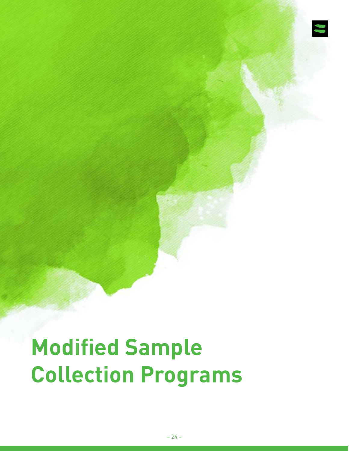

# **Modified Sample Collection Programs**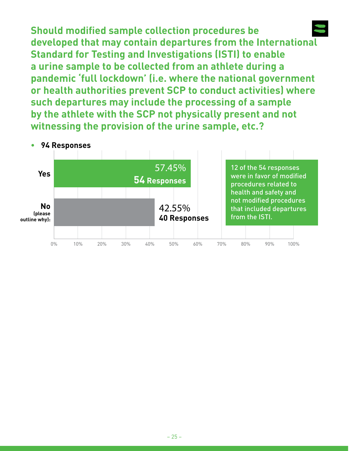**Should modified sample collection procedures be developed that may contain departures from the International Standard for Testing and Investigations (ISTI) to enable a urine sample to be collected from an athlete during a pandemic 'full lockdown' (i.e. where the national government or health authorities prevent SCP to conduct activities) where such departures may include the processing of a sample by the athlete with the SCP not physically present and not witnessing the provision of the urine sample, etc.?**

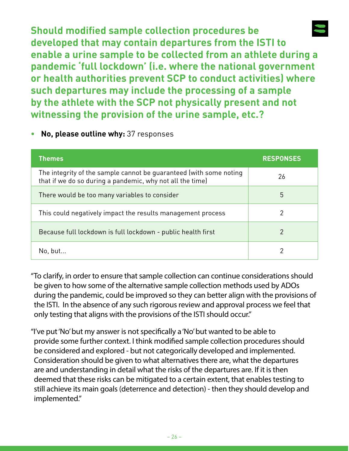**Should modified sample collection procedures be developed that may contain departures from the ISTI to enable a urine sample to be collected from an athlete during a pandemic 'full lockdown' (i.e. where the national government or health authorities prevent SCP to conduct activities) where such departures may include the processing of a sample by the athlete with the SCP not physically present and not witnessing the provision of the urine sample, etc.?**

#### **• No, please outline why:** 37 responses

| <b>Themes</b>                                                                                                                   | <b>RESPONSES</b> |
|---------------------------------------------------------------------------------------------------------------------------------|------------------|
| The integrity of the sample cannot be guaranteed (with some noting<br>that if we do so during a pandemic, why not all the time) | 26               |
| There would be too many variables to consider                                                                                   | 5                |
| This could negatively impact the results management process                                                                     | 2                |
| Because full lockdown is full lockdown - public health first                                                                    | 2                |
| No, but                                                                                                                         |                  |

"To clarify, in order to ensure that sample collection can continue considerations should be given to how some of the alternative sample collection methods used by ADOs during the pandemic, could be improved so they can better align with the provisions of the ISTI. In the absence of any such rigorous review and approval process we feel that only testing that aligns with the provisions of the ISTI should occur."

"I've put 'No' but my answer is not specifically a 'No' but wanted to be able to provide some further context. I think modified sample collection procedures should be considered and explored - but not categorically developed and implemented. Consideration should be given to what alternatives there are, what the departures are and understanding in detail what the risks of the departures are. If it is then deemed that these risks can be mitigated to a certain extent, that enables testing to still achieve its main goals (deterrence and detection) - then they should develop and implemented."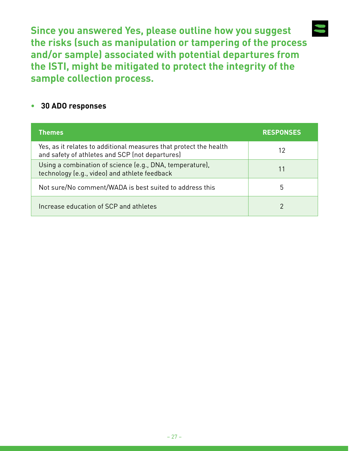**Since you answered Yes, please outline how you suggest the risks (such as manipulation or tampering of the process and/or sample) associated with potential departures from the ISTI, might be mitigated to protect the integrity of the sample collection process.** 

#### **• 30 ADO responses**

| <b>Themes</b>                                                                                                        | <b>RESPONSES</b> |
|----------------------------------------------------------------------------------------------------------------------|------------------|
| Yes, as it relates to additional measures that protect the health<br>and safety of athletes and SCP (not departures) | 12               |
| Using a combination of science (e.g., DNA, temperature),<br>technology (e.g., video) and athlete feedback            | 11               |
| Not sure/No comment/WADA is best suited to address this                                                              | 5                |
| Increase education of SCP and athletes                                                                               |                  |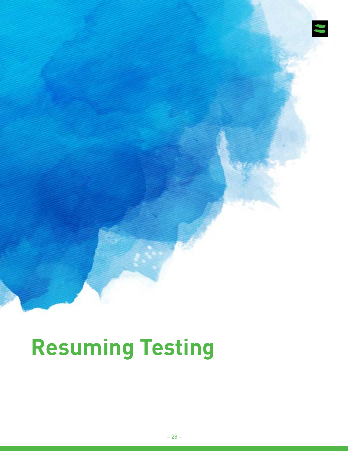

# **Resuming Testing**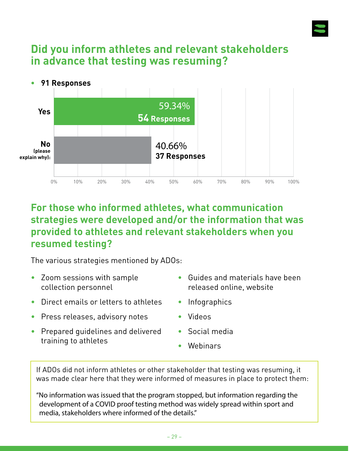

# **Did you inform athletes and relevant stakeholders in advance that testing was resuming?**



#### **For those who informed athletes, what communication strategies were developed and/or the information that was provided to athletes and relevant stakeholders when you resumed testing?**

The various strategies mentioned by ADOs:

- Zoom sessions with sample collection personnel
- Direct emails or letters to athletes
- Press releases, advisory notes
- Prepared guidelines and delivered training to athletes
- Guides and materials have been released online, website
- Infographics
- Videos
- Social media
- Webinars

If ADOs did not inform athletes or other stakeholder that testing was resuming, it was made clear here that they were informed of measures in place to protect them:

"No information was issued that the program stopped, but information regarding the development of a COVID proof testing method was widely spread within sport and media, stakeholders where informed of the details."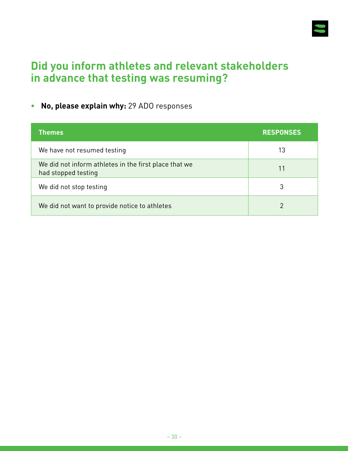

# **Did you inform athletes and relevant stakeholders in advance that testing was resuming?**

#### **• No, please explain why:** 29 ADO responses

| <b>Themes</b>                                                                | <b>RESPONSES</b> |
|------------------------------------------------------------------------------|------------------|
| We have not resumed testing                                                  | 13               |
| We did not inform athletes in the first place that we<br>had stopped testing | 11               |
| We did not stop testing                                                      |                  |
| We did not want to provide notice to athletes                                |                  |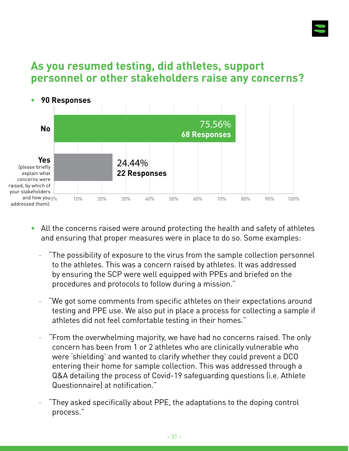

# **As you resumed testing, did athletes, support personnel or other stakeholders raise any concerns?**



- All the concerns raised were around protecting the health and safety of athletes and ensuring that proper measures were in place to do so. Some examples:
	- "The possibility of exposure to the virus from the sample collection personnel to the athletes. This was a concern raised by athletes. It was addressed by ensuring the SCP were well equipped with PPEs and briefed on the procedures and protocols to follow during a mission."
	- "We got some comments from specific athletes on their expectations around testing and PPE use. We also put in place a process for collecting a sample if athletes did not feel comfortable testing in their homes."
	- "From the overwhelming majority, we have had no concerns raised. The only concern has been from 1 or 2 athletes who are clinically vulnerable who were 'shielding' and wanted to clarify whether they could prevent a DCO entering their home for sample collection. This was addressed through a Q&A detailing the process of Covid-19 safeguarding questions (i.e. Athlete Questionnaire) at notification."
	- "They asked specifically about PPE, the adaptations to the doping control process."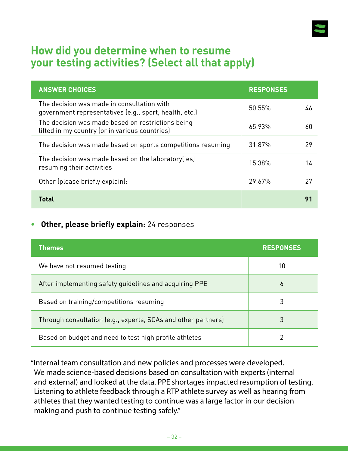

### **How did you determine when to resume your testing activities? (Select all that apply)**

| <b>ANSWER CHOICES</b>                                                                                | <b>RESPONSES</b> |    |
|------------------------------------------------------------------------------------------------------|------------------|----|
| The decision was made in consultation with<br>government representatives (e.g., sport, health, etc.) | 50.55%           | 46 |
| The decision was made based on restrictions being<br>lifted in my country (or in various countries)  | 65.93%           | 60 |
| The decision was made based on sports competitions resuming                                          | 31.87%           | 29 |
| The decision was made based on the laboratory (ies)<br>resuming their activities                     | 15.38%           | 14 |
| Other (please briefly explain):                                                                      | 29.67%           | 27 |
| <b>Total</b>                                                                                         |                  | 91 |

#### **• Other, please briefly explain:** 24 responses

| <b>Themes</b>                                                 | <b>RESPONSES</b> |
|---------------------------------------------------------------|------------------|
| We have not resumed testing                                   | 10               |
| After implementing safety guidelines and acquiring PPE        | 6                |
| Based on training/competitions resuming                       | 3                |
| Through consultation (e.g., experts, SCAs and other partners) | 3                |
| Based on budget and need to test high profile athletes        |                  |

"Internal team consultation and new policies and processes were developed. We made science-based decisions based on consultation with experts (internal and external) and looked at the data. PPE shortages impacted resumption of testing. Listening to athlete feedback through a RTP athlete survey as well as hearing from athletes that they wanted testing to continue was a large factor in our decision making and push to continue testing safely."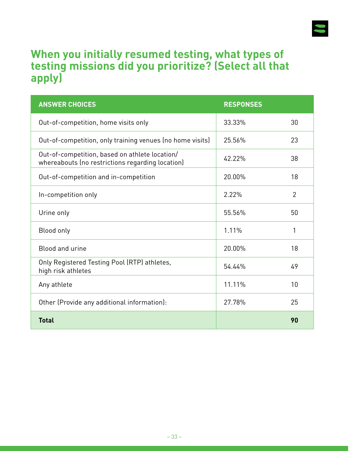

# **When you initially resumed testing, what types of testing missions did you prioritize? (Select all that apply)**

| <b>ANSWER CHOICES</b>                                                                              | <b>RESPONSES</b> |                |
|----------------------------------------------------------------------------------------------------|------------------|----------------|
| Out-of-competition, home visits only                                                               | 33.33%           | 30             |
| Out-of-competition, only training venues (no home visits)                                          | 25.56%           | 23             |
| Out-of-competition, based on athlete location/<br>whereabouts (no restrictions regarding location) | 42.22%           | 38             |
| Out-of-competition and in-competition                                                              | 20.00%           | 18             |
| In-competition only                                                                                | 2.22%            | $\overline{2}$ |
| Urine only                                                                                         | 55.56%           | 50             |
| Blood only                                                                                         | 1.11%            | 1              |
| Blood and urine                                                                                    | 20.00%           | 18             |
| Only Registered Testing Pool (RTP) athletes,<br>high risk athletes                                 | 54.44%           | 49             |
| Any athlete                                                                                        | 11.11%           | 10             |
| Other (Provide any additional information):                                                        | 27.78%           | 25             |
| <b>Total</b>                                                                                       |                  | 90             |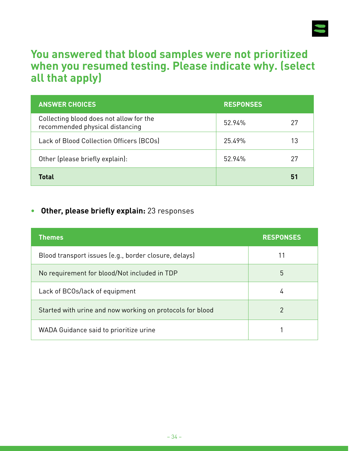

### **You answered that blood samples were not prioritized when you resumed testing. Please indicate why. (select all that apply)**

| <b>ANSWER CHOICES</b>                                                      | <b>RESPONSES</b> |    |
|----------------------------------------------------------------------------|------------------|----|
| Collecting blood does not allow for the<br>recommended physical distancing | 52.94%           | 27 |
| Lack of Blood Collection Officers (BCOs)                                   | 25.49%           | 13 |
| Other (please briefly explain):                                            | 52.94%           | 27 |
| Total                                                                      |                  | 51 |

#### **• Other, please briefly explain:** 23 responses

| <b>Themes</b>                                             | <b>RESPONSES</b> |
|-----------------------------------------------------------|------------------|
| Blood transport issues (e.g., border closure, delays)     |                  |
| No requirement for blood/Not included in TDP              | 5                |
| Lack of BCOs/lack of equipment                            | 4                |
| Started with urine and now working on protocols for blood | 2                |
| WADA Guidance said to prioritize urine                    |                  |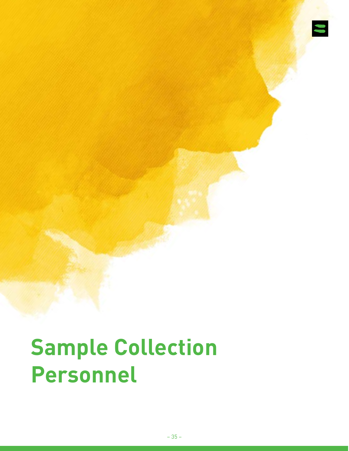

# **Sample Collection Personnel**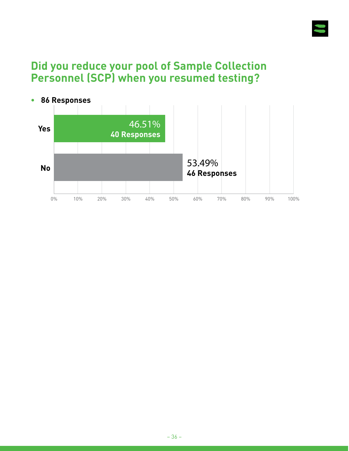

# **Did you reduce your pool of Sample Collection Personnel (SCP) when you resumed testing?**

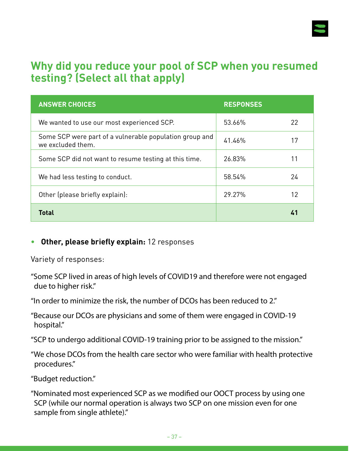

# **Why did you reduce your pool of SCP when you resumed testing? (Select all that apply)**

| <b>ANSWER CHOICES</b>                                                        | <b>RESPONSES</b> |    |
|------------------------------------------------------------------------------|------------------|----|
| We wanted to use our most experienced SCP.                                   | 53.66%           | 22 |
| Some SCP were part of a vulnerable population group and<br>we excluded them. | 41.46%           | 17 |
| Some SCP did not want to resume testing at this time.                        | 26.83%           | 11 |
| We had less testing to conduct.                                              | 58.54%           | 24 |
| Other (please briefly explain):                                              | 29.27%           | 12 |
| <b>Total</b>                                                                 |                  | 41 |

#### **• Other, please briefly explain:** 12 responses

Variety of responses:

"Some SCP lived in areas of high levels of COVID19 and therefore were not engaged due to higher risk."

"In order to minimize the risk, the number of DCOs has been reduced to 2."

"Because our DCOs are physicians and some of them were engaged in COVID-19 hospital."

"SCP to undergo additional COVID-19 training prior to be assigned to the mission."

"We chose DCOs from the health care sector who were familiar with health protective procedures."

"Budget reduction."

"Nominated most experienced SCP as we modified our OOCT process by using one SCP (while our normal operation is always two SCP on one mission even for one sample from single athlete)."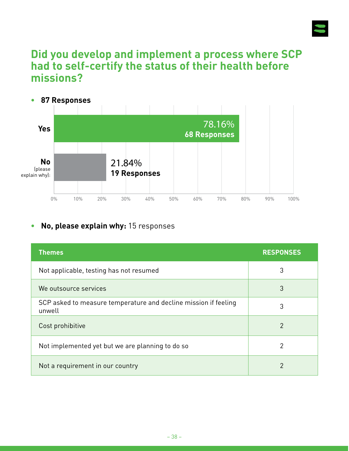

### **Did you develop and implement a process where SCP had to self-certify the status of their health before missions?**



#### **• No, please explain why:** 15 responses

| <b>Themes</b>                                                             | <b>RESPONSES</b> |
|---------------------------------------------------------------------------|------------------|
| Not applicable, testing has not resumed                                   | 3                |
| We outsource services                                                     | 3                |
| SCP asked to measure temperature and decline mission if feeling<br>unwell | 3                |
| Cost prohibitive                                                          | 2                |
| Not implemented yet but we are planning to do so                          | 2                |
| Not a requirement in our country                                          | 2                |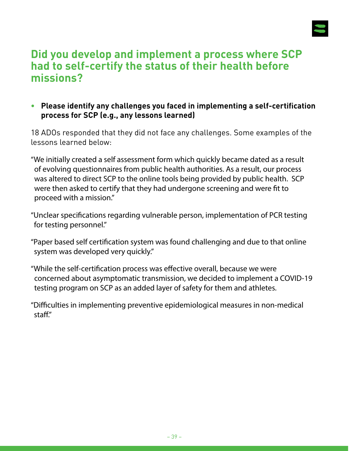

# **Did you develop and implement a process where SCP had to self-certify the status of their health before missions?**

**• Please identify any challenges you faced in implementing a self-certification process for SCP (e.g., any lessons learned)**

18 ADOs responded that they did not face any challenges. Some examples of the lessons learned below:

- "We initially created a self assessment form which quickly became dated as a result of evolving questionnaires from public health authorities. As a result, our process was altered to direct SCP to the online tools being provided by public health. SCP were then asked to certify that they had undergone screening and were fit to proceed with a mission."
- "Unclear specifications regarding vulnerable person, implementation of PCR testing for testing personnel."
- "Paper based self certification system was found challenging and due to that online system was developed very quickly."
- "While the self-certification process was effective overall, because we were concerned about asymptomatic transmission, we decided to implement a COVID-19 testing program on SCP as an added layer of safety for them and athletes.
- "Difficulties in implementing preventive epidemiological measures in non-medical staff."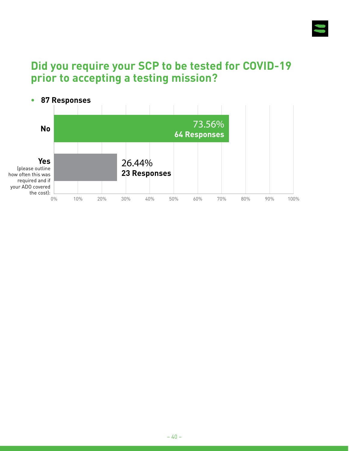

# **Did you require your SCP to be tested for COVID-19 prior to accepting a testing mission?**

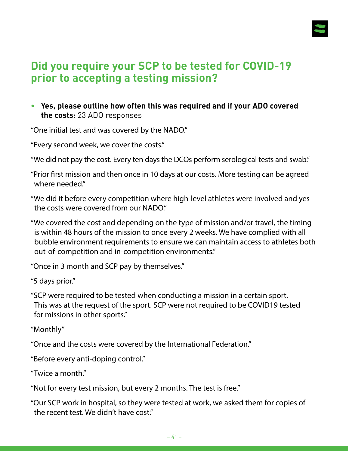

# **Did you require your SCP to be tested for COVID-19 prior to accepting a testing mission?**

**• Yes, please outline how often this was required and if your ADO covered the costs:** 23 ADO responses

"One initial test and was covered by the NADO."

"Every second week, we cover the costs."

"We did not pay the cost. Every ten days the DCOs perform serological tests and swab."

"Prior first mission and then once in 10 days at our costs. More testing can be agreed where needed."

"We did it before every competition where high-level athletes were involved and yes the costs were covered from our NADO."

"We covered the cost and depending on the type of mission and/or travel, the timing is within 48 hours of the mission to once every 2 weeks. We have complied with all bubble environment requirements to ensure we can maintain access to athletes both out-of-competition and in-competition environments."

"Once in 3 month and SCP pay by themselves."

"5 days prior."

"SCP were required to be tested when conducting a mission in a certain sport. This was at the request of the sport. SCP were not required to be COVID19 tested for missions in other sports."

"Monthly"

"Once and the costs were covered by the International Federation."

"Before every anti-doping control."

"Twice a month."

"Not for every test mission, but every 2 months. The test is free."

"Our SCP work in hospital, so they were tested at work, we asked them for copies of the recent test. We didn't have cost."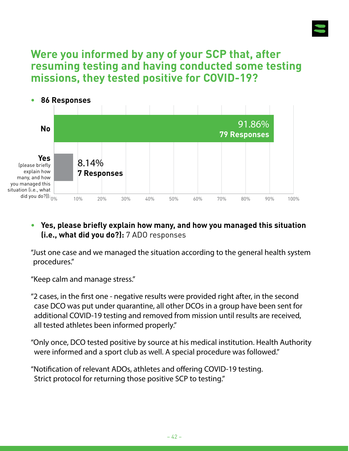

# **Were you informed by any of your SCP that, after resuming testing and having conducted some testing missions, they tested positive for COVID-19?**



#### **• Yes, please briefly explain how many, and how you managed this situation (i.e., what did you do?):** 7 ADO responses

"Just one case and we managed the situation according to the general health system procedures."

"Keep calm and manage stress."

"2 cases, in the first one - negative results were provided right after, in the second case DCO was put under quarantine, all other DCOs in a group have been sent for additional COVID-19 testing and removed from mission until results are received, all tested athletes been informed properly."

"Only once, DCO tested positive by source at his medical institution. Health Authority were informed and a sport club as well. A special procedure was followed."

"Notification of relevant ADOs, athletes and offering COVID-19 testing. Strict protocol for returning those positive SCP to testing."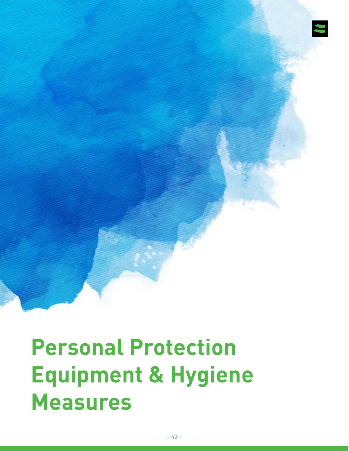

**Personal Protection Equipment & Hygiene Measures**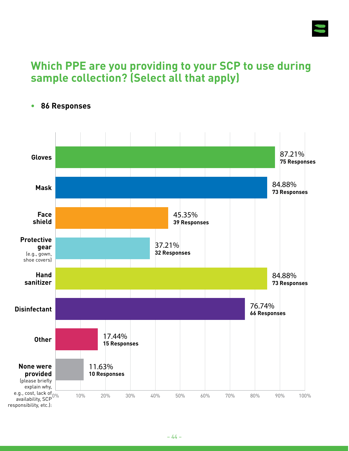

# **Which PPE are you providing to your SCP to use during sample collection? (Select all that apply)**



**• 86 Responses**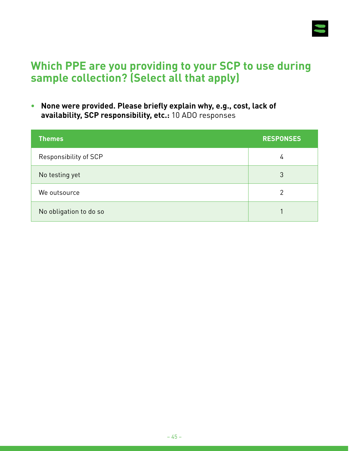

# **Which PPE are you providing to your SCP to use during sample collection? (Select all that apply)**

**• None were provided. Please briefly explain why, e.g., cost, lack of availability, SCP responsibility, etc.:** 10 ADO responses

| <b>Themes</b>          | <b>RESPONSES</b> |
|------------------------|------------------|
| Responsibility of SCP  | 4                |
| No testing yet         | 3                |
| We outsource           | 2                |
| No obligation to do so |                  |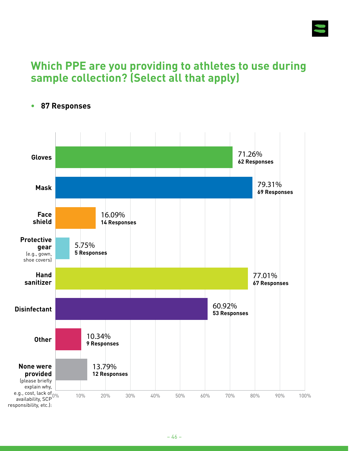

# **Which PPE are you providing to athletes to use during sample collection? (Select all that apply)**



#### **• 87 Responses**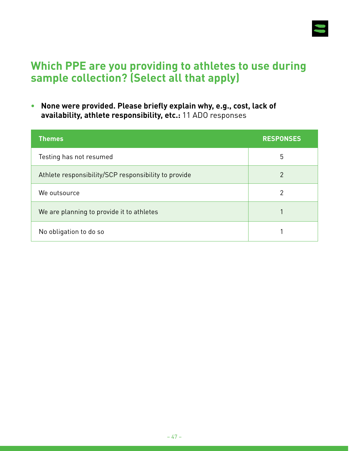

# **Which PPE are you providing to athletes to use during sample collection? (Select all that apply)**

**• None were provided. Please briefly explain why, e.g., cost, lack of availability, athlete responsibility, etc.:** 11 ADO responses

| <b>Themes</b>                                        | <b>RESPONSES</b> |
|------------------------------------------------------|------------------|
| Testing has not resumed                              | 5                |
| Athlete responsibility/SCP responsibility to provide | $\overline{2}$   |
| We outsource                                         | 2                |
| We are planning to provide it to athletes            |                  |
| No obligation to do so                               |                  |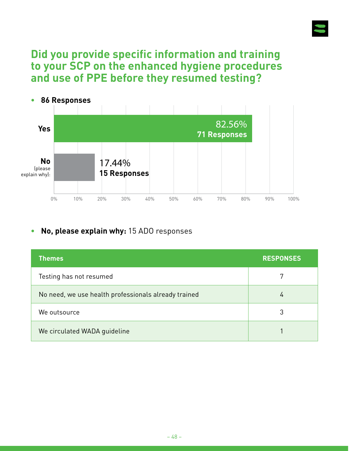

### **Did you provide specific information and training to your SCP on the enhanced hygiene procedures and use of PPE before they resumed testing?**



#### **• No, please explain why:** 15 ADO responses

| <b>Themes</b>                                        | <b>RESPONSES</b> |
|------------------------------------------------------|------------------|
| Testing has not resumed                              |                  |
| No need, we use health professionals already trained | 4                |
| We outsource                                         | 3                |
| We circulated WADA guideline                         |                  |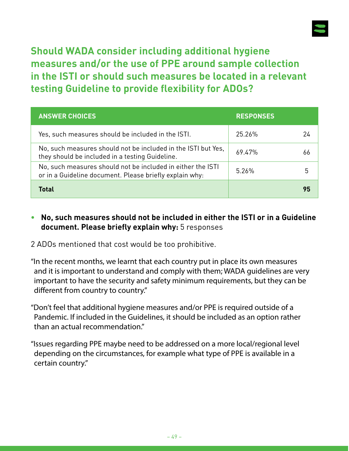

**Should WADA consider including additional hygiene measures and/or the use of PPE around sample collection in the ISTI or should such measures be located in a relevant testing Guideline to provide flexibility for ADOs?**

| <b>ANSWER CHOICES</b>                                                                                                  | <b>RESPONSES</b> |  |
|------------------------------------------------------------------------------------------------------------------------|------------------|--|
| Yes, such measures should be included in the ISTI.                                                                     | 25.26%           |  |
| No, such measures should not be included in the ISTI but Yes,<br>they should be included in a testing Guideline.       | 69.47%           |  |
| No, such measures should not be included in either the ISTI<br>or in a Guideline document. Please briefly explain why: | 5.26%            |  |
| <b>Total</b>                                                                                                           |                  |  |

#### **• No, such measures should not be included in either the ISTI or in a Guideline document. Please briefly explain why:** 5 responses

2 ADOs mentioned that cost would be too prohibitive.

"In the recent months, we learnt that each country put in place its own measures and it is important to understand and comply with them; WADA guidelines are very important to have the security and safety minimum requirements, but they can be different from country to country."

"Don't feel that additional hygiene measures and/or PPE is required outside of a Pandemic. If included in the Guidelines, it should be included as an option rather than an actual recommendation."

"Issues regarding PPE maybe need to be addressed on a more local/regional level depending on the circumstances, for example what type of PPE is available in a certain country."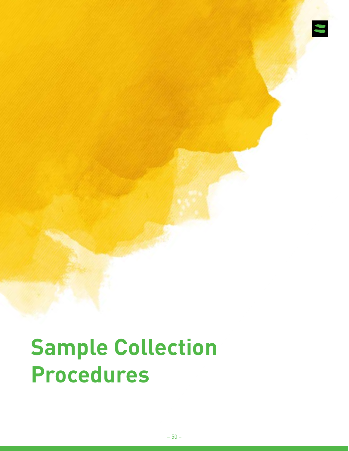

# **Sample Collection Procedures**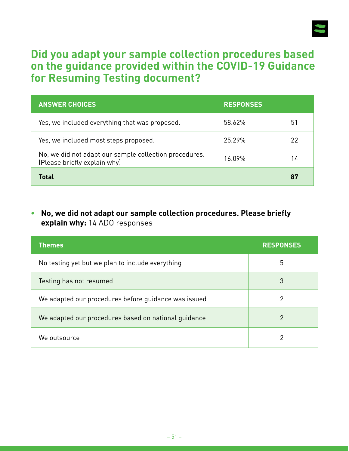

# **Did you adapt your sample collection procedures based on the guidance provided within the COVID-19 Guidance for Resuming Testing document?**

| <b>ANSWER CHOICES</b>                                                                  | <b>RESPONSES</b> |    |
|----------------------------------------------------------------------------------------|------------------|----|
| Yes, we included everything that was proposed.                                         | 58.62%           | 51 |
| Yes, we included most steps proposed.                                                  | 25.29%           | 22 |
| No, we did not adapt our sample collection procedures.<br>(Please briefly explain why) | 16.09%           | 14 |
| Total                                                                                  |                  | 87 |

**• No, we did not adapt our sample collection procedures. Please briefly explain why:** 14 ADO responses

| <b>Themes</b>                                        | <b>RESPONSES</b> |
|------------------------------------------------------|------------------|
| No testing yet but we plan to include everything     | 5                |
| Testing has not resumed                              | 3                |
| We adapted our procedures before quidance was issued | 2                |
| We adapted our procedures based on national guidance | 2                |
| We outsource                                         | າ                |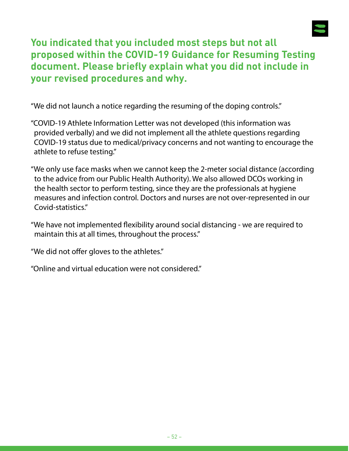

### **You indicated that you included most steps but not all proposed within the COVID-19 Guidance for Resuming Testing document. Please briefly explain what you did not include in your revised procedures and why.**

"We did not launch a notice regarding the resuming of the doping controls."

- "COVID-19 Athlete Information Letter was not developed (this information was provided verbally) and we did not implement all the athlete questions regarding COVID-19 status due to medical/privacy concerns and not wanting to encourage the athlete to refuse testing."
- "We only use face masks when we cannot keep the 2-meter social distance (according to the advice from our Public Health Authority). We also allowed DCOs working in the health sector to perform testing, since they are the professionals at hygiene measures and infection control. Doctors and nurses are not over-represented in our Covid-statistics."
- "We have not implemented flexibility around social distancing we are required to maintain this at all times, throughout the process."

"We did not offer gloves to the athletes."

"Online and virtual education were not considered."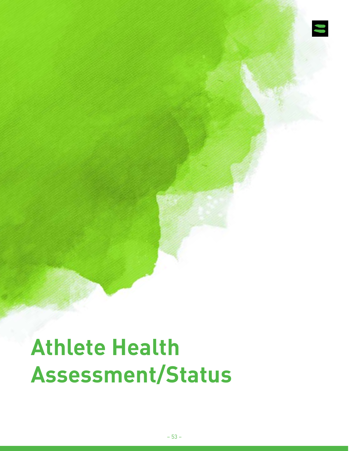

# **Athlete Health Assessment/Status**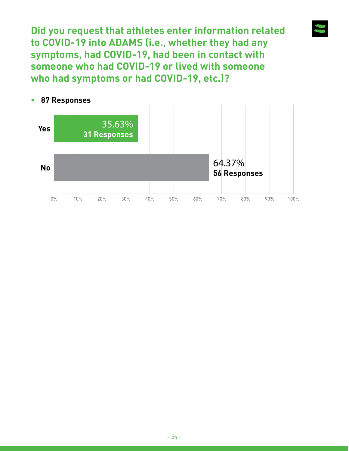**Did you request that athletes enter information related to COVID-19 into ADAMS (i.e., whether they had any symptoms, had COVID-19, had been in contact with someone who had COVID-19 or lived with someone who had symptoms or had COVID-19, etc.)?**

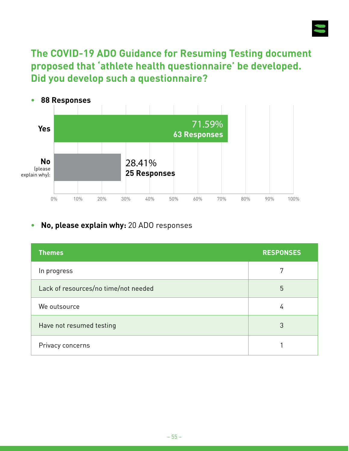

**The COVID-19 ADO Guidance for Resuming Testing document proposed that 'athlete health questionnaire' be developed. Did you develop such a questionnaire?**



#### **• No, please explain why:** 20 ADO responses

| <b>Themes</b>                        | <b>RESPONSES</b> |
|--------------------------------------|------------------|
| In progress                          | 7                |
| Lack of resources/no time/not needed | 5                |
| We outsource                         | 4                |
| Have not resumed testing             | 3                |
| Privacy concerns                     |                  |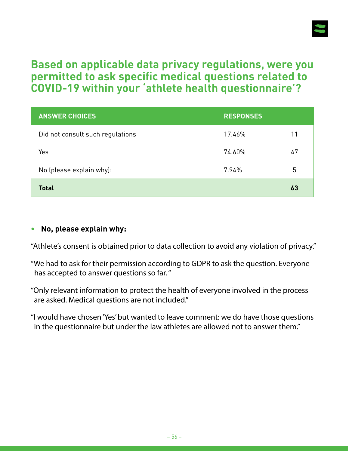

# **Based on applicable data privacy regulations, were you permitted to ask specific medical questions related to COVID-19 within your 'athlete health questionnaire'?**

| <b>ANSWER CHOICES</b>            | <b>RESPONSES</b> |    |
|----------------------------------|------------------|----|
| Did not consult such regulations | 17.46%           | 11 |
| Yes                              | 74.60%           | 47 |
| No (please explain why):         | 7.94%            | 5  |
| <b>Total</b>                     |                  | 63 |

#### **• No, please explain why:**

"Athlete's consent is obtained prior to data collection to avoid any violation of privacy."

"We had to ask for their permission according to GDPR to ask the question. Everyone has accepted to answer questions so far. "

"Only relevant information to protect the health of everyone involved in the process are asked. Medical questions are not included."

"I would have chosen 'Yes' but wanted to leave comment: we do have those questions in the questionnaire but under the law athletes are allowed not to answer them."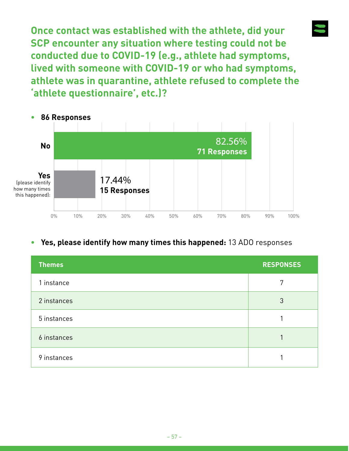**Once contact was established with the athlete, did your SCP encounter any situation where testing could not be conducted due to COVID-19 (e.g., athlete had symptoms, lived with someone with COVID-19 or who had symptoms, athlete was in quarantine, athlete refused to complete the 'athlete questionnaire', etc.)?**



#### **• Yes, please identify how many times this happened:** 13 ADO responses

| <b>Themes</b> | <b>RESPONSES</b> |
|---------------|------------------|
| 1 instance    | 7                |
| 2 instances   | 3                |
| 5 instances   |                  |
| 6 instances   |                  |
| 9 instances   |                  |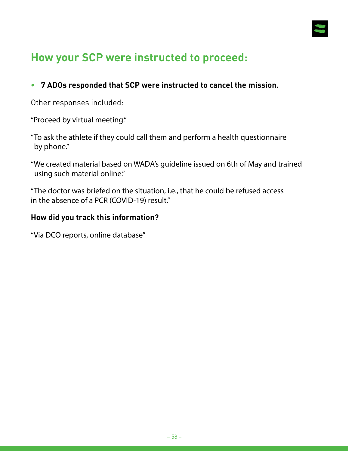

# **How your SCP were instructed to proceed:**

#### **• 7 ADOs responded that SCP were instructed to cancel the mission.**

Other responses included:

"Proceed by virtual meeting."

"To ask the athlete if they could call them and perform a health questionnaire by phone."

"We created material based on WADA's guideline issued on 6th of May and trained using such material online."

"The doctor was briefed on the situation, i.e., that he could be refused access in the absence of a PCR (COVID-19) result."

#### **How did you track this information?**

"Via DCO reports, online database"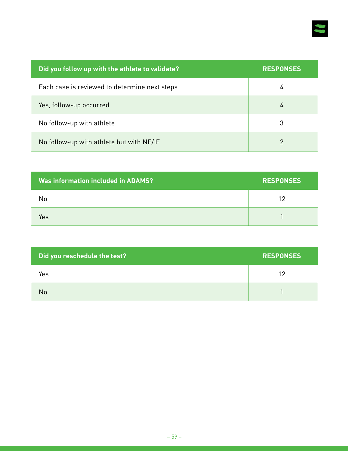

| Did you follow up with the athlete to validate? | <b>RESPONSES</b> |
|-------------------------------------------------|------------------|
| Each case is reviewed to determine next steps   | 4                |
| Yes, follow-up occurred                         | 4                |
| No follow-up with athlete                       | 3                |
| No follow-up with athlete but with NF/IF        | 2                |

| <b>Was information included in ADAMS?</b> | <b>RESPONSES</b> |
|-------------------------------------------|------------------|
| No                                        | 12               |
| Yes                                       |                  |

| Did you reschedule the test? | <b>RESPONSES</b> |
|------------------------------|------------------|
| Yes                          | 12               |
| No                           |                  |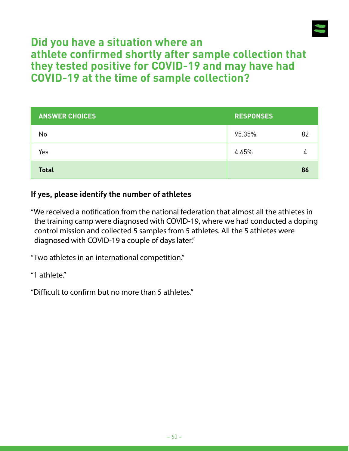

# **Did you have a situation where an athlete confirmed shortly after sample collection that they tested positive for COVID-19 and may have had COVID-19 at the time of sample collection?**

| <b>ANSWER CHOICES</b> | <b>RESPONSES</b> |    |
|-----------------------|------------------|----|
| No                    | 95.35%           | 82 |
| Yes                   | 4.65%            |    |
| <b>Total</b>          |                  | 86 |

#### **If yes, please identify the number of athletes**

"We received a notification from the national federation that almost all the athletes in the training camp were diagnosed with COVID-19, where we had conducted a doping control mission and collected 5 samples from 5 athletes. All the 5 athletes were diagnosed with COVID-19 a couple of days later."

"Two athletes in an international competition."

"1 athlete."

"Difficult to confirm but no more than 5 athletes."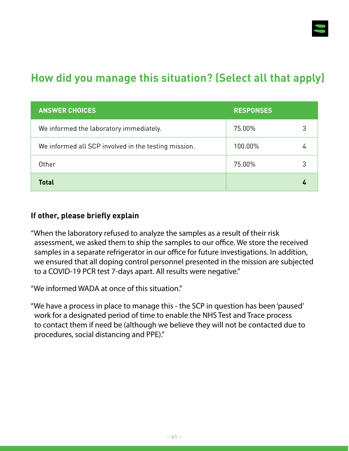

# **How did you manage this situation? (Select all that apply)**

| <b>ANSWER CHOICES</b>                                | <b>RESPONSES</b> |  |
|------------------------------------------------------|------------------|--|
| We informed the laboratory immediately.              | 75.00%           |  |
| We informed all SCP involved in the testing mission. | 100.00%          |  |
| Other                                                | 75.00%           |  |
| <b>Total</b>                                         |                  |  |

#### **If other, please briefly explain**

"When the laboratory refused to analyze the samples as a result of their risk assessment, we asked them to ship the samples to our office. We store the received samples in a separate refrigerator in our office for future investigations. In addition, we ensured that all doping control personnel presented in the mission are subjected to a COVID-19 PCR test 7-days apart. All results were negative."

"We informed WADA at once of this situation."

"We have a process in place to manage this - the SCP in question has been 'paused' work for a designated period of time to enable the NHS Test and Trace process to contact them if need be (although we believe they will not be contacted due to procedures, social distancing and PPE)."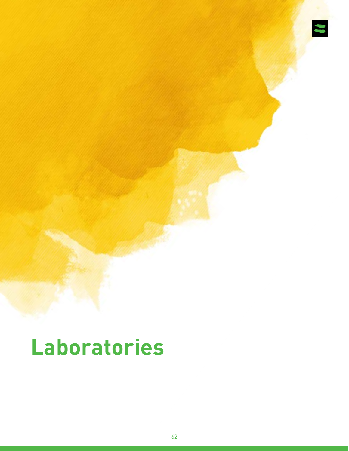

# **Laboratories**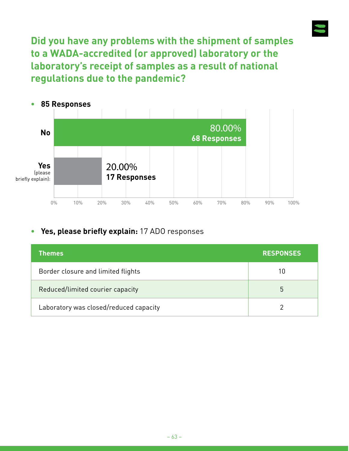**Did you have any problems with the shipment of samples to a WADA-accredited (or approved) laboratory or the laboratory's receipt of samples as a result of national regulations due to the pandemic?**



#### **• Yes, please briefly explain:** 17 ADO responses

| <b>Themes</b>                          | <b>RESPONSES</b> |
|----------------------------------------|------------------|
| Border closure and limited flights     | 10               |
| Reduced/limited courier capacity       | 5                |
| Laboratory was closed/reduced capacity |                  |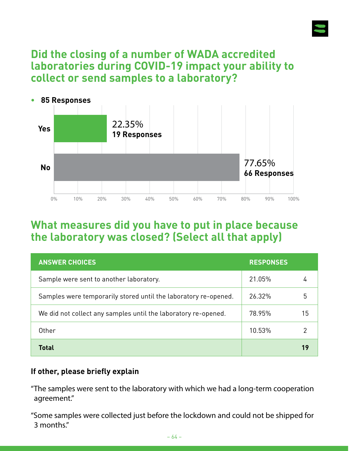

# **Did the closing of a number of WADA accredited laboratories during COVID-19 impact your ability to collect or send samples to a laboratory?**



### **What measures did you have to put in place because the laboratory was closed? (Select all that apply)**

| <b>ANSWER CHOICES</b>                                           | <b>RESPONSES</b> |    |
|-----------------------------------------------------------------|------------------|----|
| Sample were sent to another laboratory.                         | 21.05%           |    |
| Samples were temporarily stored until the laboratory re-opened. | 26.32%           | 5  |
| We did not collect any samples until the laboratory re-opened.  | 78.95%           | 15 |
| Other                                                           | 10.53%           | 2  |
| Total                                                           |                  | 19 |

#### **If other, please briefly explain**

"The samples were sent to the laboratory with which we had a long-term cooperation agreement."

"Some samples were collected just before the lockdown and could not be shipped for 3 months."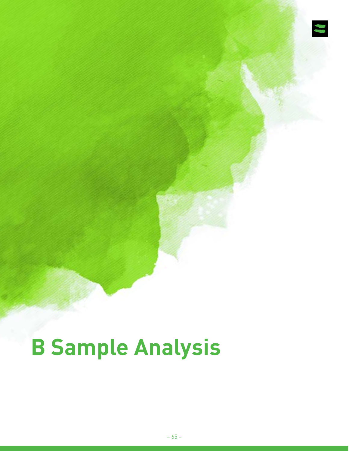

# **B Sample Analysis**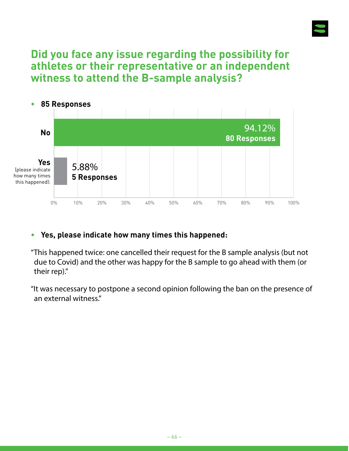

# **Did you face any issue regarding the possibility for athletes or their representative or an independent witness to attend the B-sample analysis?**



#### **• Yes, please indicate how many times this happened:**

"This happened twice: one cancelled their request for the B sample analysis (but not due to Covid) and the other was happy for the B sample to go ahead with them (or their rep)."

"It was necessary to postpone a second opinion following the ban on the presence of an external witness."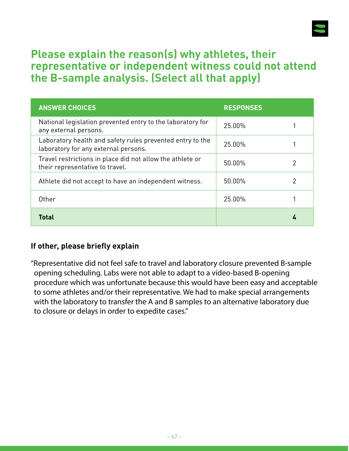

# **Please explain the reason(s) why athletes, their representative or independent witness could not attend the B-sample analysis. (Select all that apply)**

| <b>ANSWER CHOICES</b>                                                                             | <b>RESPONSES</b> |   |
|---------------------------------------------------------------------------------------------------|------------------|---|
| National legislation prevented entry to the laboratory for<br>any external persons.               | 25.00%           |   |
| Laboratory health and safety rules prevented entry to the<br>laboratory for any external persons. | 25.00%           |   |
| Travel restrictions in place did not allow the athlete or<br>their representative to travel.      | 50.00%           | 2 |
| Athlete did not accept to have an independent witness.                                            | 50.00%           | 2 |
| Other                                                                                             | 25.00%           |   |
| Total                                                                                             |                  |   |

#### **If other, please briefly explain**

"Representative did not feel safe to travel and laboratory closure prevented B-sample opening scheduling. Labs were not able to adapt to a video-based B-opening procedure which was unfortunate because this would have been easy and acceptable to some athletes and/or their representative. We had to make special arrangements with the laboratory to transfer the A and B samples to an alternative laboratory due to closure or delays in order to expedite cases."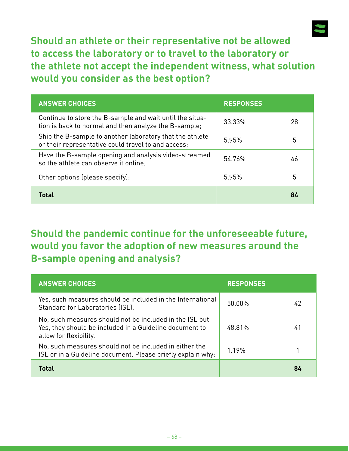

**Should an athlete or their representative not be allowed to access the laboratory or to travel to the laboratory or the athlete not accept the independent witness, what solution would you consider as the best option?**

| <b>ANSWER CHOICES</b>                                                                                             | <b>RESPONSES</b> |    |
|-------------------------------------------------------------------------------------------------------------------|------------------|----|
| Continue to store the B-sample and wait until the situa-<br>tion is back to normal and then analyze the B-sample; | 33.33%           | 28 |
| Ship the B-sample to another laboratory that the athlete<br>or their representative could travel to and access;   | 5.95%            | 5  |
| Have the B-sample opening and analysis video-streamed<br>so the athlete can observe it online;                    | 54.76%           | 46 |
| Other options (please specify):                                                                                   | 5.95%            | 5  |
| <b>Total</b>                                                                                                      |                  | 84 |

# **Should the pandemic continue for the unforeseeable future, would you favor the adoption of new measures around the B-sample opening and analysis?**

| <b>ANSWER CHOICES</b>                                                                                                                        | <b>RESPONSES</b> |    |
|----------------------------------------------------------------------------------------------------------------------------------------------|------------------|----|
| Yes, such measures should be included in the International<br>Standard for Laboratories (ISL).                                               | 50.00%           | 42 |
| No, such measures should not be included in the ISL but<br>Yes, they should be included in a Guideline document to<br>allow for flexibility. | 48.81%           | 41 |
| No, such measures should not be included in either the<br>ISL or in a Guideline document. Please briefly explain why:                        | 1.19%            |    |
| Total                                                                                                                                        |                  | 84 |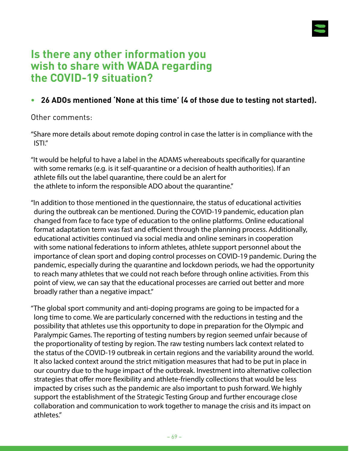

### **Is there any other information you wish to share with WADA regarding the COVID-19 situation?**

#### **• 26 ADOs mentioned 'None at this time' (4 of those due to testing not started).**

Other comments:

"Share more details about remote doping control in case the latter is in compliance with the ISTI."

"It would be helpful to have a label in the ADAMS whereabouts specifically for quarantine with some remarks (e.g. is it self-quarantine or a decision of health authorities). If an athlete fills out the label quarantine, there could be an alert for the athlete to inform the responsible ADO about the quarantine."

"In addition to those mentioned in the questionnaire, the status of educational activities during the outbreak can be mentioned. During the COVID-19 pandemic, education plan changed from face to face type of education to the online platforms. Online educational format adaptation term was fast and efficient through the planning process. Additionally, educational activities continued via social media and online seminars in cooperation with some national federations to inform athletes, athlete support personnel about the importance of clean sport and doping control processes on COVID-19 pandemic. During the pandemic, especially during the quarantine and lockdown periods, we had the opportunity to reach many athletes that we could not reach before through online activities. From this point of view, we can say that the educational processes are carried out better and more broadly rather than a negative impact."

"The global sport community and anti-doping programs are going to be impacted for a long time to come. We are particularly concerned with the reductions in testing and the possibility that athletes use this opportunity to dope in preparation for the Olympic and Paralympic Games. The reporting of testing numbers by region seemed unfair because of the proportionality of testing by region. The raw testing numbers lack context related to the status of the COVID-19 outbreak in certain regions and the variability around the world. It also lacked context around the strict mitigation measures that had to be put in place in our country due to the huge impact of the outbreak. Investment into alternative collection strategies that offer more flexibility and athlete-friendly collections that would be less impacted by crises such as the pandemic are also important to push forward. We highly support the establishment of the Strategic Testing Group and further encourage close collaboration and communication to work together to manage the crisis and its impact on athletes."